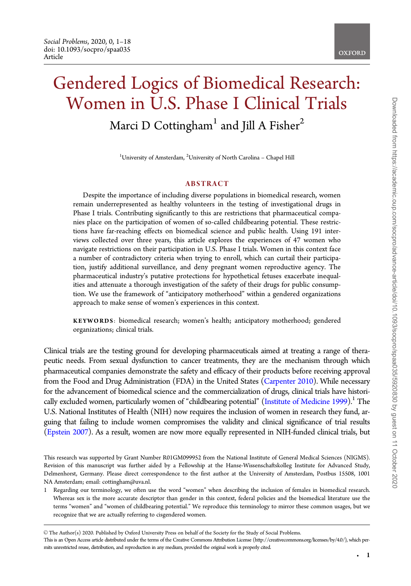# Gendered Logics of Biomedical Research: Women in U.S. Phase I Clinical Trials Marci D Cottingham $^1$  and Jill A Fisher<sup>2</sup>

<sup>1</sup>University of Amsterdam, <sup>2</sup>University of North Carolina - Chapel Hill

#### ABSTRACT

Despite the importance of including diverse populations in biomedical research, women remain underrepresented as healthy volunteers in the testing of investigational drugs in Phase I trials. Contributing significantly to this are restrictions that pharmaceutical companies place on the participation of women of so-called childbearing potential. These restrictions have far-reaching effects on biomedical science and public health. Using 191 interviews collected over three years, this article explores the experiences of 47 women who navigate restrictions on their participation in U.S. Phase I trials. Women in this context face a number of contradictory criteria when trying to enroll, which can curtail their participation, justify additional surveillance, and deny pregnant women reproductive agency. The pharmaceutical industry's putative protections for hypothetical fetuses exacerbate inequalities and attenuate a thorough investigation of the safety of their drugs for public consumption. We use the framework of "anticipatory motherhood" within a gendered organizations approach to make sense of women's experiences in this context.

KEYWORDS: biomedical research; women's health; anticipatory motherhood; gendered organizations; clinical trials.

Clinical trials are the testing ground for developing pharmaceuticals aimed at treating a range of therapeutic needs. From sexual dysfunction to cancer treatments, they are the mechanism through which pharmaceutical companies demonstrate the safety and efficacy of their products before receiving approval from the Food and Drug Administration (FDA) in the United States [\(Carpenter 2010\)](#page-15-0). While necessary for the advancement of biomedical science and the commercialization of drugs, clinical trials have histori-cally excluded women, particularly women of "childbearing potential" [\(Institute of Medicine 1999\)](#page-16-0).<sup>1</sup> The U.S. National Institutes of Health (NIH) now requires the inclusion of women in research they fund, arguing that failing to include women compromises the validity and clinical significance of trial results [\(Epstein 2007](#page-16-0)). As a result, women are now more equally represented in NIH-funded clinical trials, but

This research was supported by Grant Number R01GM099952 from the National Institute of General Medical Sciences (NIGMS). Revision of this manuscript was further aided by a Fellowship at the Hanse-Wissenschaftskolleg Institute for Advanced Study, Delmenhorst, Germany. Please direct correspondence to the first author at the University of Amsterdam, Postbus 15508, 1001 NA Amsterdam; email: cottingham@uva.nl.

<sup>1</sup> Regarding our terminology, we often use the word "women" when describing the inclusion of females in biomedical research. Whereas sex is the more accurate descriptor than gender in this context, federal policies and the biomedical literature use the terms "women" and "women of childbearing potential." We reproduce this terminology to mirror these common usages, but we recognize that we are actually referring to cisgendered women.

V<sup>C</sup> The Author(s) 2020. Published by Oxford University Press on behalf of the Society for the Study of Social Problems.

This is an Open Access article distributed under the terms of the Creative Commons Attribution License (http://creativecommons.org/licenses/by/4.0/), which permits unrestricted reuse, distribution, and reproduction in any medium, provided the original work is properly cited.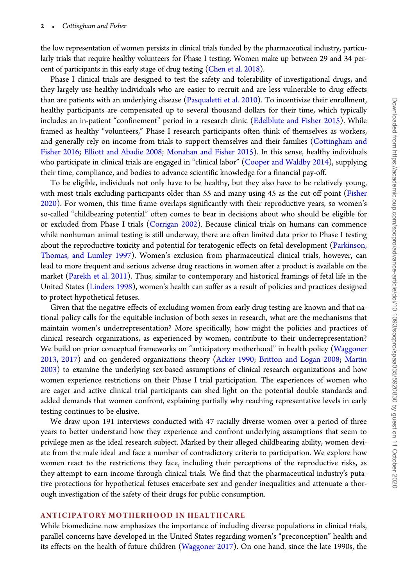the low representation of women persists in clinical trials funded by the pharmaceutical industry, particularly trials that require healthy volunteers for Phase I testing. Women make up between 29 and 34 percent of participants in this early stage of drug testing [\(Chen et al. 2018](#page-15-0)).

Phase I clinical trials are designed to test the safety and tolerability of investigational drugs, and they largely use healthy individuals who are easier to recruit and are less vulnerable to drug effects than are patients with an underlying disease ([Pasqualetti et al. 2010](#page-17-0)). To incentivize their enrollment, healthy participants are compensated up to several thousand dollars for their time, which typically includes an in-patient "confinement" period in a research clinic ([Edelblute and Fisher 2015\)](#page-16-0). While framed as healthy "volunteers," Phase I research participants often think of themselves as workers, and generally rely on income from trials to support themselves and their families [\(Cottingham and](#page-16-0) [Fisher 2016](#page-16-0); [Elliott and Abadie 2008;](#page-16-0) [Monahan and Fisher 2015](#page-16-0)). In this sense, healthy individuals who participate in clinical trials are engaged in "clinical labor" ([Cooper and Waldby 2014\)](#page-15-0), supplying their time, compliance, and bodies to advance scientific knowledge for a financial pay-off.

To be eligible, individuals not only have to be healthy, but they also have to be relatively young, with most trials excluding participants older than 55 and many using 45 as the cut-off point [\(Fisher](#page-16-0) [2020\)](#page-16-0). For women, this time frame overlaps significantly with their reproductive years, so women's so-called "childbearing potential" often comes to bear in decisions about who should be eligible for or excluded from Phase I trials ([Corrigan 2002](#page-15-0)). Because clinical trials on humans can commence while nonhuman animal testing is still underway, there are often limited data prior to Phase I testing about the reproductive toxicity and potential for teratogenic effects on fetal development [\(Parkinson,](#page-16-0) [Thomas, and Lumley 1997](#page-16-0)). Women's exclusion from pharmaceutical clinical trials, however, can lead to more frequent and serious adverse drug reactions in women after a product is available on the market [\(Parekh et al. 2011](#page-16-0)). Thus, similar to contemporary and historical framings of fetal life in the United States [\(Linders 1998](#page-16-0)), women's health can suffer as a result of policies and practices designed to protect hypothetical fetuses.

Given that the negative effects of excluding women from early drug testing are known and that national policy calls for the equitable inclusion of both sexes in research, what are the mechanisms that maintain women's underrepresentation? More specifically, how might the policies and practices of clinical research organizations, as experienced by women, contribute to their underrepresentation? We build on prior conceptual frameworks on "anticipatory motherhood" in health policy [\(Waggoner](#page-17-0) [2013,](#page-17-0) [2017](#page-17-0)) and on gendered organizations theory ([Acker 1990;](#page-15-0) [Britton and Logan 2008](#page-15-0); [Martin](#page-16-0) [2003\)](#page-16-0) to examine the underlying sex-based assumptions of clinical research organizations and how women experience restrictions on their Phase I trial participation. The experiences of women who are eager and active clinical trial participants can shed light on the potential double standards and added demands that women confront, explaining partially why reaching representative levels in early testing continues to be elusive.

We draw upon 191 interviews conducted with 47 racially diverse women over a period of three years to better understand how they experience and confront underlying assumptions that seem to privilege men as the ideal research subject. Marked by their alleged childbearing ability, women deviate from the male ideal and face a number of contradictory criteria to participation. We explore how women react to the restrictions they face, including their perceptions of the reproductive risks, as they attempt to earn income through clinical trials. We find that the pharmaceutical industry's putative protections for hypothetical fetuses exacerbate sex and gender inequalities and attenuate a thorough investigation of the safety of their drugs for public consumption.

#### ANTICIPATORY MOTHERHOOD IN HEALTHCARE

While biomedicine now emphasizes the importance of including diverse populations in clinical trials, parallel concerns have developed in the United States regarding women's "preconception" health and its effects on the health of future children [\(Waggoner 2017\)](#page-17-0). On one hand, since the late 1990s, the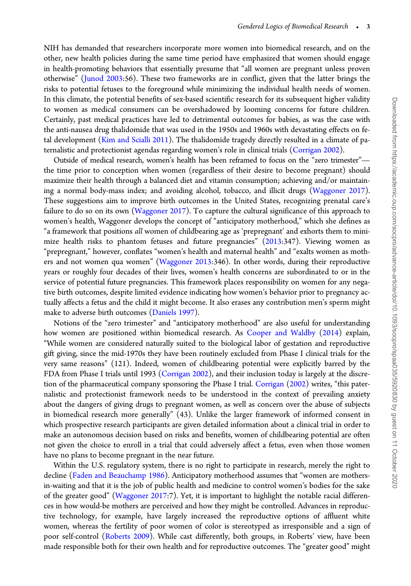NIH has demanded that researchers incorporate more women into biomedical research, and on the other, new health policies during the same time period have emphasized that women should engage in health-promoting behaviors that essentially presume that "all women are pregnant unless proven otherwise" [\(Junod 2003:](#page-16-0)56). These two frameworks are in conflict, given that the latter brings the risks to potential fetuses to the foreground while minimizing the individual health needs of women. In this climate, the potential benefits of sex-based scientific research for its subsequent higher validity to women as medical consumers can be overshadowed by looming concerns for future children. Certainly, past medical practices have led to detrimental outcomes for babies, as was the case with the anti-nausea drug thalidomide that was used in the 1950s and 1960s with devastating effects on fe-tal development ([Kim and Scialli 2011](#page-16-0)). The thalidomide tragedy directly resulted in a climate of pa-ternalistic and protectionist agendas regarding women's role in clinical trials ([Corrigan 2002](#page-15-0)).

Outside of medical research, women's health has been reframed to focus on the "zero trimester" the time prior to conception when women (regardless of their desire to become pregnant) should maximize their health through a balanced diet and vitamin consumption; achieving and/or maintaining a normal body-mass index; and avoiding alcohol, tobacco, and illicit drugs [\(Waggoner 2017](#page-17-0)). These suggestions aim to improve birth outcomes in the United States, recognizing prenatal care's failure to do so on its own [\(Waggoner 2017](#page-17-0)). To capture the cultural significance of this approach to women's health, Waggoner develops the concept of "anticipatory motherhood," which she defines as "a framework that positions all women of childbearing age as 'prepregnant' and exhorts them to minimize health risks to phantom fetuses and future pregnancies" [\(2013:](#page-17-0)347). Viewing women as "prepregnant," however, conflates "women's health and maternal health" and "exalts women as mothers and not women qua women" ([Waggoner 2013:](#page-17-0)346). In other words, during their reproductive years or roughly four decades of their lives, women's health concerns are subordinated to or in the service of potential future pregnancies. This framework places responsibility on women for any negative birth outcomes, despite limited evidence indicating how women's behavior prior to pregnancy actually affects a fetus and the child it might become. It also erases any contribution men's sperm might make to adverse birth outcomes [\(Daniels 1997\)](#page-16-0).

Notions of the "zero trimester" and "anticipatory motherhood" are also useful for understanding how women are positioned within biomedical research. As [Cooper and Waldby](#page-15-0) [\(2014\)](#page-15-0) explain, "While women are considered naturally suited to the biological labor of gestation and reproductive gift giving, since the mid-1970s they have been routinely excluded from Phase I clinical trials for the very same reasons" (121). Indeed, women of childbearing potential were explicitly barred by the FDA from Phase I trials until 1993 [\(Corrigan 2002](#page-15-0)), and their inclusion today is largely at the discre-tion of the pharmaceutical company sponsoring the Phase I trial. [Corrigan](#page-15-0) ([2002\)](#page-15-0) writes, "this paternalistic and protectionist framework needs to be understood in the context of prevailing anxiety about the dangers of giving drugs to pregnant women, as well as concern over the abuse of subjects in biomedical research more generally" (43). Unlike the larger framework of informed consent in which prospective research participants are given detailed information about a clinical trial in order to make an autonomous decision based on risks and benefits, women of childbearing potential are often not given the choice to enroll in a trial that could adversely affect a fetus, even when those women have no plans to become pregnant in the near future.

Within the U.S. regulatory system, there is no right to participate in research, merely the right to decline ([Faden and Beauchamp 1986](#page-16-0)). Anticipatory motherhood assumes that "women are mothersin-waiting and that it is the job of public health and medicine to control women's bodies for the sake of the greater good" ([Waggoner 2017](#page-17-0):7). Yet, it is important to highlight the notable racial differences in how would-be mothers are perceived and how they might be controlled. Advances in reproductive technology, for example, have largely increased the reproductive options of affluent white women, whereas the fertility of poor women of color is stereotyped as irresponsible and a sign of poor self-control [\(Roberts 2009\)](#page-17-0). While cast differently, both groups, in Roberts' view, have been made responsible both for their own health and for reproductive outcomes. The "greater good" might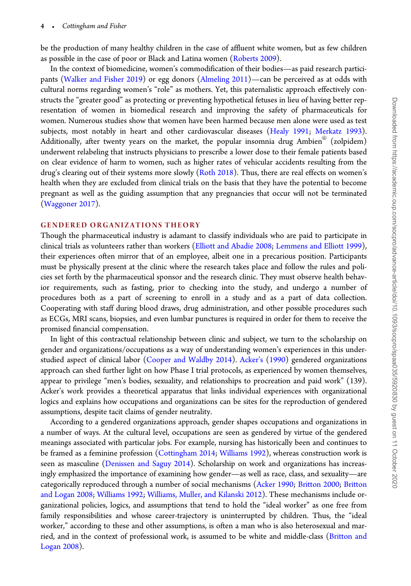be the production of many healthy children in the case of affluent white women, but as few children as possible in the case of poor or Black and Latina women [\(Roberts 2009](#page-17-0)).

In the context of biomedicine, women's commodification of their bodies—as paid research participants [\(Walker and Fisher 2019](#page-17-0)) or egg donors [\(Almeling 2011\)](#page-15-0)—can be perceived as at odds with cultural norms regarding women's "role" as mothers. Yet, this paternalistic approach effectively constructs the "greater good" as protecting or preventing hypothetical fetuses in lieu of having better representation of women in biomedical research and improving the safety of pharmaceuticals for women. Numerous studies show that women have been harmed because men alone were used as test subjects, most notably in heart and other cardiovascular diseases ([Healy 1991;](#page-16-0) [Merkatz 1993](#page-16-0)). Additionally, after twenty years on the market, the popular insomnia drug Ambien $^{\circledR}$  (zolpidem) underwent relabeling that instructs physicians to prescribe a lower dose to their female patients based on clear evidence of harm to women, such as higher rates of vehicular accidents resulting from the drug's clearing out of their systems more slowly ([Roth 2018\)](#page-17-0). Thus, there are real effects on women's health when they are excluded from clinical trials on the basis that they have the potential to become pregnant as well as the guiding assumption that any pregnancies that occur will not be terminated [\(Waggoner 2017\)](#page-17-0).

#### GENDERED ORGANIZATIONS THEORY

Though the pharmaceutical industry is adamant to classify individuals who are paid to participate in clinical trials as volunteers rather than workers ([Elliott and Abadie 2008;](#page-16-0) [Lemmens and Elliott 1999](#page-16-0)), their experiences often mirror that of an employee, albeit one in a precarious position. Participants must be physically present at the clinic where the research takes place and follow the rules and policies set forth by the pharmaceutical sponsor and the research clinic. They must observe health behavior requirements, such as fasting, prior to checking into the study, and undergo a number of procedures both as a part of screening to enroll in a study and as a part of data collection. Cooperating with staff during blood draws, drug administration, and other possible procedures such as ECGs, MRI scans, biopsies, and even lumbar punctures is required in order for them to receive the promised financial compensation.

In light of this contractual relationship between clinic and subject, we turn to the scholarship on gender and organizations/occupations as a way of understanding women's experiences in this understudied aspect of clinical labor ([Cooper and Waldby 2014\)](#page-15-0). [Acker's](#page-15-0) ([1990\)](#page-15-0) gendered organizations approach can shed further light on how Phase I trial protocols, as experienced by women themselves, appear to privilege "men's bodies, sexuality, and relationships to procreation and paid work" (139). Acker's work provides a theoretical apparatus that links individual experiences with organizational logics and explains how occupations and organizations can be sites for the reproduction of gendered assumptions, despite tacit claims of gender neutrality.

According to a gendered organizations approach, gender shapes occupations and organizations in a number of ways. At the cultural level, occupations are seen as gendered by virtue of the gendered meanings associated with particular jobs. For example, nursing has historically been and continues to be framed as a feminine profession [\(Cottingham 2014](#page-15-0); [Williams 1992\)](#page-17-0), whereas construction work is seen as masculine [\(Denissen and Saguy 2014\)](#page-16-0). Scholarship on work and organizations has increasingly emphasized the importance of examining how gender—as well as race, class, and sexuality—are categorically reproduced through a number of social mechanisms [\(Acker 1990;](#page-15-0) [Britton 2000;](#page-15-0) [Britton](#page-15-0) [and Logan 2008;](#page-15-0) [Williams 1992;](#page-17-0) [Williams, Muller, and Kilanski 2012\)](#page-17-0). These mechanisms include organizational policies, logics, and assumptions that tend to hold the "ideal worker" as one free from family responsibilities and whose career-trajectory is uninterrupted by children. Thus, the "ideal worker," according to these and other assumptions, is often a man who is also heterosexual and married, and in the context of professional work, is assumed to be white and middle-class ([Britton and](#page-15-0) [Logan 2008\)](#page-15-0).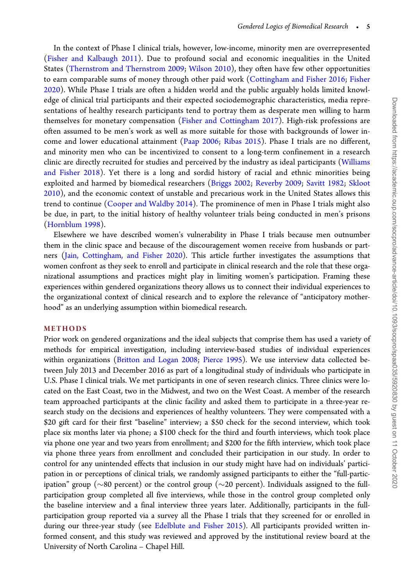In the context of Phase I clinical trials, however, low-income, minority men are overrepresented [\(Fisher and Kalbaugh 2011](#page-16-0)). Due to profound social and economic inequalities in the United States ([Thernstrom and Thernstrom 2009](#page-17-0); [Wilson 2010\)](#page-17-0), they often have few other opportunities to earn comparable sums of money through other paid work ([Cottingham and Fisher 2016](#page-16-0); [Fisher](#page-16-0) [2020\)](#page-16-0). While Phase I trials are often a hidden world and the public arguably holds limited knowledge of clinical trial participants and their expected sociodemographic characteristics, media representations of healthy research participants tend to portray them as desperate men willing to harm themselves for monetary compensation ([Fisher and Cottingham 2017](#page-16-0)). High-risk professions are often assumed to be men's work as well as more suitable for those with backgrounds of lower income and lower educational attainment [\(Paap 2006;](#page-16-0) [Ribas 2015\)](#page-17-0). Phase I trials are no different, and minority men who can be incentivized to consent to a long-term confinement in a research clinic are directly recruited for studies and perceived by the industry as ideal participants ([Williams](#page-17-0) [and Fisher 2018\)](#page-17-0). Yet there is a long and sordid history of racial and ethnic minorities being exploited and harmed by biomedical researchers [\(Briggs 2002;](#page-15-0) [Reverby 2009](#page-17-0); [Savitt 1982;](#page-17-0) [Skloot](#page-17-0) [2010\)](#page-17-0), and the economic context of unstable and precarious work in the United States allows this trend to continue ([Cooper and Waldby 2014\)](#page-15-0). The prominence of men in Phase I trials might also be due, in part, to the initial history of healthy volunteer trials being conducted in men's prisons [\(Hornblum 1998](#page-16-0)).

Elsewhere we have described women's vulnerability in Phase I trials because men outnumber them in the clinic space and because of the discouragement women receive from husbands or partners [\(Jain, Cottingham, and Fisher 2020](#page-16-0)). This article further investigates the assumptions that women confront as they seek to enroll and participate in clinical research and the role that these organizational assumptions and practices might play in limiting women's participation. Framing these experiences within gendered organizations theory allows us to connect their individual experiences to the organizational context of clinical research and to explore the relevance of "anticipatory motherhood" as an underlying assumption within biomedical research.

#### METHODS

Prior work on gendered organizations and the ideal subjects that comprise them has used a variety of methods for empirical investigation, including interview-based studies of individual experiences within organizations [\(Britton and Logan 2008;](#page-15-0) [Pierce 1995\)](#page-17-0). We use interview data collected between July 2013 and December 2016 as part of a longitudinal study of individuals who participate in U.S. Phase I clinical trials. We met participants in one of seven research clinics. Three clinics were located on the East Coast, two in the Midwest, and two on the West Coast. A member of the research team approached participants at the clinic facility and asked them to participate in a three-year research study on the decisions and experiences of healthy volunteers. They were compensated with a \$20 gift card for their first "baseline" interview; a \$50 check for the second interview, which took place six months later via phone; a \$100 check for the third and fourth interviews, which took place via phone one year and two years from enrollment; and \$200 for the fifth interview, which took place via phone three years from enrollment and concluded their participation in our study. In order to control for any unintended effects that inclusion in our study might have had on individuals' participation in or perceptions of clinical trials, we randomly assigned participants to either the "full-participation" group ( $\sim$ 80 percent) or the control group ( $\sim$ 20 percent). Individuals assigned to the fullparticipation group completed all five interviews, while those in the control group completed only the baseline interview and a final interview three years later. Additionally, participants in the fullparticipation group reported via a survey all the Phase I trials that they screened for or enrolled in during our three-year study (see [Edelblute and Fisher 2015](#page-16-0)). All participants provided written informed consent, and this study was reviewed and approved by the institutional review board at the University of North Carolina – Chapel Hill.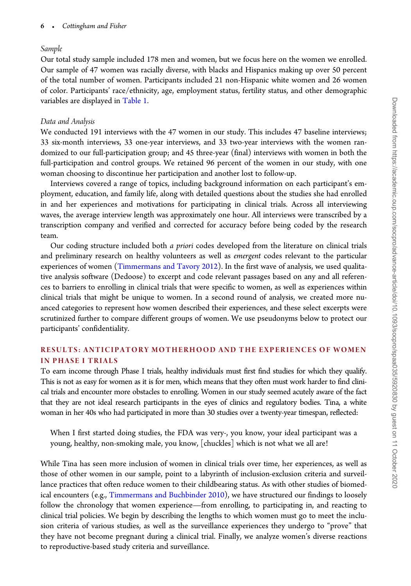## 6 - Cottingham and Fisher

#### Sample

Our total study sample included 178 men and women, but we focus here on the women we enrolled. Our sample of 47 women was racially diverse, with blacks and Hispanics making up over 50 percent of the total number of women. Participants included 21 non-Hispanic white women and 26 women of color. Participants' race/ethnicity, age, employment status, fertility status, and other demographic variables are displayed in [Table 1.](#page-6-0)

## Data and Analysis

We conducted 191 interviews with the 47 women in our study. This includes 47 baseline interviews; 33 six-month interviews, 33 one-year interviews, and 33 two-year interviews with the women randomized to our full-participation group; and 45 three-year (final) interviews with women in both the full-participation and control groups. We retained 96 percent of the women in our study, with one woman choosing to discontinue her participation and another lost to follow-up.

Interviews covered a range of topics, including background information on each participant's employment, education, and family life, along with detailed questions about the studies she had enrolled in and her experiences and motivations for participating in clinical trials. Across all interviewing waves, the average interview length was approximately one hour. All interviews were transcribed by a transcription company and verified and corrected for accuracy before being coded by the research team.

Our coding structure included both a priori codes developed from the literature on clinical trials and preliminary research on healthy volunteers as well as emergent codes relevant to the particular experiences of women [\(Timmermans and Tavory 2012\)](#page-17-0). In the first wave of analysis, we used qualitative analysis software (Dedoose) to excerpt and code relevant passages based on any and all references to barriers to enrolling in clinical trials that were specific to women, as well as experiences within clinical trials that might be unique to women. In a second round of analysis, we created more nuanced categories to represent how women described their experiences, and these select excerpts were scrutinized further to compare different groups of women. We use pseudonyms below to protect our participants' confidentiality.

## RESULTS: ANTICIPATORY MOTHERHOOD AND THE EXPERIENCES OF WOMEN IN PHASE I TRIALS

To earn income through Phase I trials, healthy individuals must first find studies for which they qualify. This is not as easy for women as it is for men, which means that they often must work harder to find clinical trials and encounter more obstacles to enrolling. Women in our study seemed acutely aware of the fact that they are not ideal research participants in the eyes of clinics and regulatory bodies. Tina, a white woman in her 40s who had participated in more than 30 studies over a twenty-year timespan, reflected:

When I first started doing studies, the FDA was very-, you know, your ideal participant was a young, healthy, non-smoking male, you know, [chuckles] which is not what we all are!

While Tina has seen more inclusion of women in clinical trials over time, her experiences, as well as those of other women in our sample, point to a labyrinth of inclusion-exclusion criteria and surveillance practices that often reduce women to their childbearing status. As with other studies of biomedical encounters (e.g., [Timmermans and Buchbinder 2010\)](#page-17-0), we have structured our findings to loosely follow the chronology that women experience—from enrolling, to participating in, and reacting to clinical trial policies. We begin by describing the lengths to which women must go to meet the inclusion criteria of various studies, as well as the surveillance experiences they undergo to "prove" that they have not become pregnant during a clinical trial. Finally, we analyze women's diverse reactions to reproductive-based study criteria and surveillance.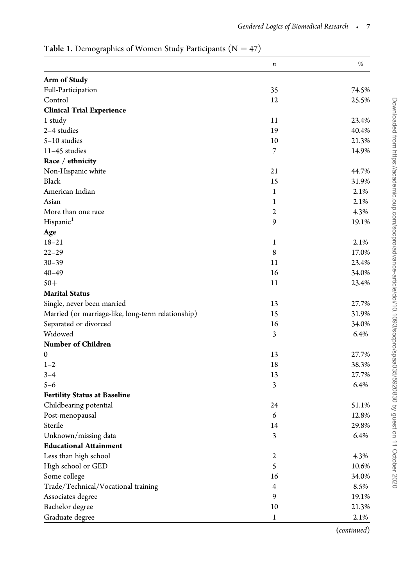## <span id="page-6-0"></span>Table 1. Demographics of Women Study Participants  $(N = 47)$

| Arm of Study<br>Full-Participation<br>35<br>Control<br>12<br><b>Clinical Trial Experience</b><br>11<br>1 study<br>2-4 studies<br>19<br>5-10 studies<br>10<br>11-45 studies<br>7<br>Race / ethnicity<br>Non-Hispanic white<br>21<br>Black<br>15<br>American Indian<br>$\mathbf{1}$<br>Asian<br>$\mathbf{1}$<br>$\mathfrak{2}$<br>9<br>$18 - 21$<br>$\mathbf{1}$<br>8<br>$22 - 29$ | %     |
|----------------------------------------------------------------------------------------------------------------------------------------------------------------------------------------------------------------------------------------------------------------------------------------------------------------------------------------------------------------------------------|-------|
|                                                                                                                                                                                                                                                                                                                                                                                  |       |
|                                                                                                                                                                                                                                                                                                                                                                                  | 74.5% |
|                                                                                                                                                                                                                                                                                                                                                                                  | 25.5% |
|                                                                                                                                                                                                                                                                                                                                                                                  |       |
|                                                                                                                                                                                                                                                                                                                                                                                  | 23.4% |
|                                                                                                                                                                                                                                                                                                                                                                                  | 40.4% |
|                                                                                                                                                                                                                                                                                                                                                                                  | 21.3% |
|                                                                                                                                                                                                                                                                                                                                                                                  | 14.9% |
| More than one race<br>Hispanic <sup>1</sup><br>Age                                                                                                                                                                                                                                                                                                                               |       |
|                                                                                                                                                                                                                                                                                                                                                                                  | 44.7% |
|                                                                                                                                                                                                                                                                                                                                                                                  | 31.9% |
|                                                                                                                                                                                                                                                                                                                                                                                  | 2.1%  |
|                                                                                                                                                                                                                                                                                                                                                                                  | 2.1%  |
|                                                                                                                                                                                                                                                                                                                                                                                  | 4.3%  |
|                                                                                                                                                                                                                                                                                                                                                                                  | 19.1% |
|                                                                                                                                                                                                                                                                                                                                                                                  |       |
|                                                                                                                                                                                                                                                                                                                                                                                  | 2.1%  |
|                                                                                                                                                                                                                                                                                                                                                                                  | 17.0% |
| 11<br>$30 - 39$                                                                                                                                                                                                                                                                                                                                                                  | 23.4% |
| $40 - 49$<br>16                                                                                                                                                                                                                                                                                                                                                                  | 34.0% |
| $50+$<br>11                                                                                                                                                                                                                                                                                                                                                                      | 23.4% |
| <b>Marital Status</b>                                                                                                                                                                                                                                                                                                                                                            |       |
| Single, never been married<br>13                                                                                                                                                                                                                                                                                                                                                 | 27.7% |
| Married (or marriage-like, long-term relationship)<br>15                                                                                                                                                                                                                                                                                                                         | 31.9% |
| Separated or divorced<br>16                                                                                                                                                                                                                                                                                                                                                      | 34.0% |
| Widowed<br>3                                                                                                                                                                                                                                                                                                                                                                     | 6.4%  |
| Number of Children                                                                                                                                                                                                                                                                                                                                                               |       |
| $\boldsymbol{0}$<br>13                                                                                                                                                                                                                                                                                                                                                           | 27.7% |
| $1 - 2$<br>18                                                                                                                                                                                                                                                                                                                                                                    | 38.3% |
| $3 - 4$<br>13                                                                                                                                                                                                                                                                                                                                                                    | 27.7% |
| $5 - 6$<br>3                                                                                                                                                                                                                                                                                                                                                                     | 6.4%  |
| <b>Fertility Status at Baseline</b>                                                                                                                                                                                                                                                                                                                                              |       |
| Childbearing potential<br>24                                                                                                                                                                                                                                                                                                                                                     | 51.1% |
| Post-menopausal<br>6                                                                                                                                                                                                                                                                                                                                                             | 12.8% |
| Sterile<br>14                                                                                                                                                                                                                                                                                                                                                                    | 29.8% |
| Unknown/missing data<br>3                                                                                                                                                                                                                                                                                                                                                        | 6.4%  |
| <b>Educational Attainment</b>                                                                                                                                                                                                                                                                                                                                                    |       |
| Less than high school<br>$\boldsymbol{2}$                                                                                                                                                                                                                                                                                                                                        | 4.3%  |
| High school or GED<br>5                                                                                                                                                                                                                                                                                                                                                          | 10.6% |
| Some college<br>16                                                                                                                                                                                                                                                                                                                                                               | 34.0% |
| Trade/Technical/Vocational training<br>$\overline{4}$                                                                                                                                                                                                                                                                                                                            | 8.5%  |
| 9<br>Associates degree                                                                                                                                                                                                                                                                                                                                                           | 19.1% |
| Bachelor degree<br>10                                                                                                                                                                                                                                                                                                                                                            | 21.3% |
| Graduate degree<br>$\mathbf{1}$                                                                                                                                                                                                                                                                                                                                                  | 2.1%  |

(continued)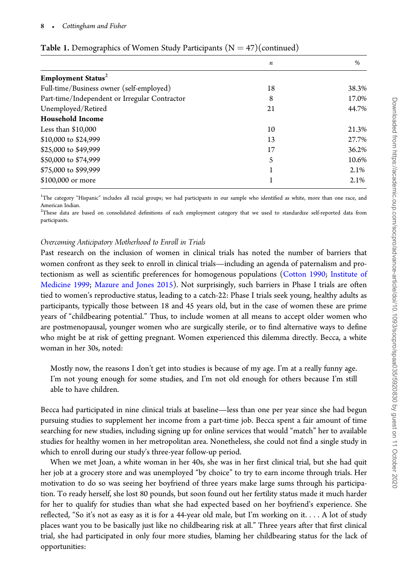|                                               | $\it n$ | %     |
|-----------------------------------------------|---------|-------|
| <b>Employment Status</b> <sup>2</sup>         |         |       |
| Full-time/Business owner (self-employed)      | 18      | 38.3% |
| Part-time/Independent or Irregular Contractor | 8       | 17.0% |
| Unemployed/Retired                            | 21      | 44.7% |
| <b>Household Income</b>                       |         |       |
| Less than $$10,000$                           | 10      | 21.3% |
| \$10,000 to \$24,999                          | 13      | 27.7% |
| \$25,000 to \$49,999                          | 17      | 36.2% |
| \$50,000 to \$74,999                          | 5       | 10.6% |
| \$75,000 to \$99,999                          |         | 2.1%  |
| \$100,000 or more                             |         | 2.1%  |

Table 1. Demographics of Women Study Participants  $(N = 47)$ (continued)

<sup>1</sup>The category "Hispanic" includes all racial groups; we had participants in our sample who identified as white, more than one race, and American Indian.

<sup>2</sup>These data are based on consolidated definitions of each employment category that we used to standardize self-reported data from participants.

## Overcoming Anticipatory Motherhood to Enroll in Trials

Past research on the inclusion of women in clinical trials has noted the number of barriers that women confront as they seek to enroll in clinical trials—including an agenda of paternalism and protectionism as well as scientific preferences for homogenous populations ([Cotton 1990;](#page-16-0) [Institute of](#page-16-0) [Medicine 1999;](#page-16-0) [Mazure and Jones 2015\)](#page-16-0). Not surprisingly, such barriers in Phase I trials are often tied to women's reproductive status, leading to a catch-22: Phase I trials seek young, healthy adults as participants, typically those between 18 and 45 years old, but in the case of women these are prime years of "childbearing potential." Thus, to include women at all means to accept older women who are postmenopausal, younger women who are surgically sterile, or to find alternative ways to define who might be at risk of getting pregnant. Women experienced this dilemma directly. Becca, a white woman in her 30s, noted:

Mostly now, the reasons I don't get into studies is because of my age. I'm at a really funny age. I'm not young enough for some studies, and I'm not old enough for others because I'm still able to have children.

Becca had participated in nine clinical trials at baseline—less than one per year since she had begun pursuing studies to supplement her income from a part-time job. Becca spent a fair amount of time searching for new studies, including signing up for online services that would "match" her to available studies for healthy women in her metropolitan area. Nonetheless, she could not find a single study in which to enroll during our study's three-year follow-up period.

When we met Joan, a white woman in her 40s, she was in her first clinical trial, but she had quit her job at a grocery store and was unemployed "by choice" to try to earn income through trials. Her motivation to do so was seeing her boyfriend of three years make large sums through his participation. To ready herself, she lost 80 pounds, but soon found out her fertility status made it much harder for her to qualify for studies than what she had expected based on her boyfriend's experience. She reflected, "So it's not as easy as it is for a 44-year old male, but I'm working on it. . . . A lot of study places want you to be basically just like no childbearing risk at all." Three years after that first clinical trial, she had participated in only four more studies, blaming her childbearing status for the lack of opportunities: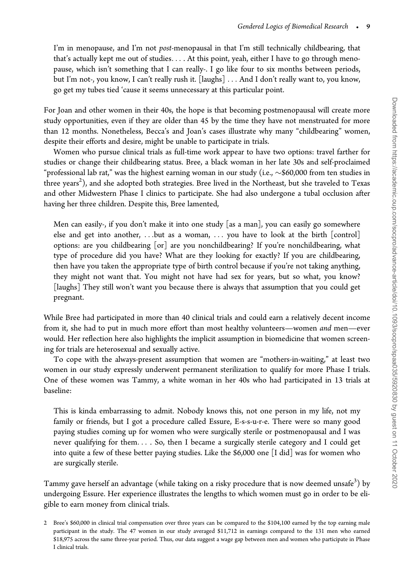I'm in menopause, and I'm not *post*-menopausal in that I'm still technically childbearing, that that's actually kept me out of studies... . At this point, yeah, either I have to go through menopause, which isn't something that I can really-. I go like four to six months between periods, but I'm not-, you know, I can't really rush it. [laughs] ... And I don't really want to, you know, go get my tubes tied 'cause it seems unnecessary at this particular point.

For Joan and other women in their 40s, the hope is that becoming postmenopausal will create more study opportunities, even if they are older than 45 by the time they have not menstruated for more than 12 months. Nonetheless, Becca's and Joan's cases illustrate why many "childbearing" women, despite their efforts and desire, might be unable to participate in trials.

Women who pursue clinical trials as full-time work appear to have two options: travel farther for studies or change their childbearing status. Bree, a black woman in her late 30s and self-proclaimed "professional lab rat," was the highest earning woman in our study (i.e.,  $\sim$ \$60,000 from ten studies in three years<sup>2</sup>), and she adopted both strategies. Bree lived in the Northeast, but she traveled to Texas and other Midwestern Phase I clinics to participate. She had also undergone a tubal occlusion after having her three children. Despite this, Bree lamented,

Men can easily-, if you don't make it into one study [as a man], you can easily go somewhere else and get into another, ...but as a woman, ... you have to look at the birth [control] options: are you childbearing [or] are you nonchildbearing? If you're nonchildbearing, what type of procedure did you have? What are they looking for exactly? If you are childbearing, then have you taken the appropriate type of birth control because if you're not taking anything, they might not want that. You might not have had sex for years, but so what, you know? [laughs] They still won't want you because there is always that assumption that you could get pregnant.

While Bree had participated in more than 40 clinical trials and could earn a relatively decent income from it, she had to put in much more effort than most healthy volunteers—women and men—ever would. Her reflection here also highlights the implicit assumption in biomedicine that women screening for trials are heterosexual and sexually active.

To cope with the always-present assumption that women are "mothers-in-waiting," at least two women in our study expressly underwent permanent sterilization to qualify for more Phase I trials. One of these women was Tammy, a white woman in her 40s who had participated in 13 trials at baseline:

This is kinda embarrassing to admit. Nobody knows this, not one person in my life, not my family or friends, but I got a procedure called Essure, E-s-s-u-r-e. There were so many good paying studies coming up for women who were surgically sterile or postmenopausal and I was never qualifying for them... . So, then I became a surgically sterile category and I could get into quite a few of these better paying studies. Like the  $$6,000$  one [I did] was for women who are surgically sterile.

Tammy gave herself an advantage (while taking on a risky procedure that is now deemed unsafe $^3)$  by undergoing Essure. Her experience illustrates the lengths to which women must go in order to be eligible to earn money from clinical trials.

<sup>2</sup> Bree's \$60,000 in clinical trial compensation over three years can be compared to the \$104,100 earned by the top earning male participant in the study. The 47 women in our study averaged \$11,712 in earnings compared to the 131 men who earned \$18,975 across the same three-year period. Thus, our data suggest a wage gap between men and women who participate in Phase I clinical trials.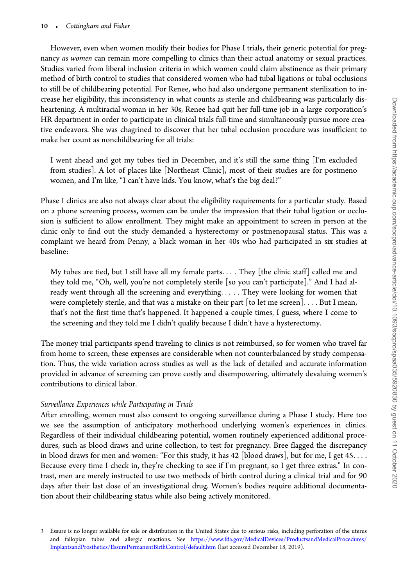However, even when women modify their bodies for Phase I trials, their generic potential for pregnancy as women can remain more compelling to clinics than their actual anatomy or sexual practices. Studies varied from liberal inclusion criteria in which women could claim abstinence as their primary method of birth control to studies that considered women who had tubal ligations or tubal occlusions to still be of childbearing potential. For Renee, who had also undergone permanent sterilization to increase her eligibility, this inconsistency in what counts as sterile and childbearing was particularly disheartening. A multiracial woman in her 30s, Renee had quit her full-time job in a large corporation's HR department in order to participate in clinical trials full-time and simultaneously pursue more creative endeavors. She was chagrined to discover that her tubal occlusion procedure was insufficient to make her count as nonchildbearing for all trials:

I went ahead and got my tubes tied in December, and it's still the same thing [I'm excluded from studies]. A lot of places like [Northeast Clinic], most of their studies are for postmeno women, and I'm like, "I can't have kids. You know, what's the big deal?"

Phase I clinics are also not always clear about the eligibility requirements for a particular study. Based on a phone screening process, women can be under the impression that their tubal ligation or occlusion is sufficient to allow enrollment. They might make an appointment to screen in person at the clinic only to find out the study demanded a hysterectomy or postmenopausal status. This was a complaint we heard from Penny, a black woman in her 40s who had participated in six studies at baseline:

My tubes are tied, but I still have all my female parts... . They [the clinic staff] called me and they told me, "Oh, well, you're not completely sterile [so you can't participate]." And I had already went through all the screening and everything... . . They were looking for women that were completely sterile, and that was a mistake on their part [to let me screen]... . But I mean, that's not the first time that's happened. It happened a couple times, I guess, where I come to the screening and they told me I didn't qualify because I didn't have a hysterectomy.

The money trial participants spend traveling to clinics is not reimbursed, so for women who travel far from home to screen, these expenses are considerable when not counterbalanced by study compensation. Thus, the wide variation across studies as well as the lack of detailed and accurate information provided in advance of screening can prove costly and disempowering, ultimately devaluing women's contributions to clinical labor.

## Surveillance Experiences while Participating in Trials

After enrolling, women must also consent to ongoing surveillance during a Phase I study. Here too we see the assumption of anticipatory motherhood underlying women's experiences in clinics. Regardless of their individual childbearing potential, women routinely experienced additional procedures, such as blood draws and urine collection, to test for pregnancy. Bree flagged the discrepancy in blood draws for men and women: "For this study, it has 42 [blood draws], but for me, I get 45... . Because every time I check in, they're checking to see if I'm pregnant, so I get three extras." In contrast, men are merely instructed to use two methods of birth control during a clinical trial and for 90 days after their last dose of an investigational drug. Women's bodies require additional documentation about their childbearing status while also being actively monitored.

<sup>3</sup> Essure is no longer available for sale or distribution in the United States due to serious risks, including perforation of the uterus and fallopian tubes and allergic reactions. See [https://www.fda.gov/MedicalDevices/ProductsandMedicalProcedures/](https://www.fda.gov/MedicalDevices/ProductsandMedicalProcedures/ImplantsandProsthetics/EssurePermanentBirthControl/default.htm) [ImplantsandProsthetics/EssurePermanentBirthControl/default.htm](https://www.fda.gov/MedicalDevices/ProductsandMedicalProcedures/ImplantsandProsthetics/EssurePermanentBirthControl/default.htm) (last accessed December 18, 2019).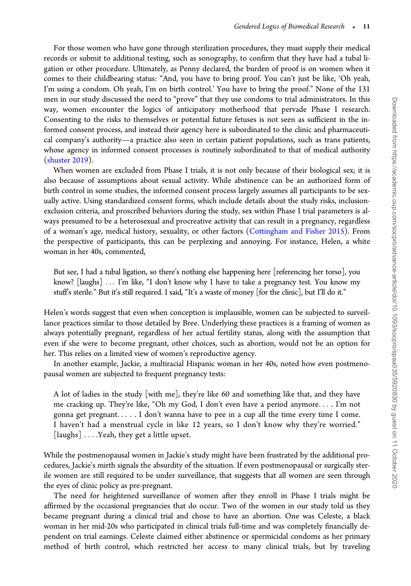For those women who have gone through sterilization procedures, they must supply their medical records or submit to additional testing, such as sonography, to confirm that they have had a tubal ligation or other procedure. Ultimately, as Penny declared, the burden of proof is on women when it comes to their childbearing status: "And, you have to bring proof. You can't just be like, 'Oh yeah, I'm using a condom. Oh yeah, I'm on birth control.' You have to bring the proof." None of the 131 men in our study discussed the need to "prove" that they use condoms to trial administrators. In this way, women encounter the logics of anticipatory motherhood that pervade Phase I research. Consenting to the risks to themselves or potential future fetuses is not seen as sufficient in the informed consent process, and instead their agency here is subordinated to the clinic and pharmaceutical company's authority—a practice also seen in certain patient populations, such as trans patients, whose agency in informed consent processes is routinely subordinated to that of medical authority [\(shuster 2019](#page-17-0)).

When women are excluded from Phase I trials, it is not only because of their biological sex; it is also because of assumptions about sexual activity. While abstinence can be an authorized form of birth control in some studies, the informed consent process largely assumes all participants to be sexually active. Using standardized consent forms, which include details about the study risks, inclusionexclusion criteria, and proscribed behaviors during the study, sex within Phase I trial parameters is always presumed to be a heterosexual and procreative activity that can result in a pregnancy, regardless of a woman's age, medical history, sexuality, or other factors [\(Cottingham and Fisher 2015\)](#page-16-0). From the perspective of participants, this can be perplexing and annoying. For instance, Helen, a white woman in her 40s, commented,

But see, I had a tubal ligation, so there's nothing else happening here [referencing her torso], you know? [laughs] ... I'm like, "I don't know why I have to take a pregnancy test. You know my stuff's sterile." But it's still required. I said, "It's a waste of money [for the clinic], but I'll do it."

Helen's words suggest that even when conception is implausible, women can be subjected to surveillance practices similar to those detailed by Bree. Underlying these practices is a framing of women as always potentially pregnant, regardless of her actual fertility status, along with the assumption that even if she were to become pregnant, other choices, such as abortion, would not be an option for her. This relies on a limited view of women's reproductive agency.

In another example, Jackie, a multiracial Hispanic woman in her 40s, noted how even postmenopausal women are subjected to frequent pregnancy tests:

A lot of ladies in the study [with me], they're like 60 and something like that, and they have me cracking up. They're like, "Oh my God, I don't even have a period anymore... . I'm not gonna get pregnant... . . I don't wanna have to pee in a cup all the time every time I come. I haven't had a menstrual cycle in like 12 years, so I don't know why they're worried." [laughs] ... .Yeah, they get a little upset.

While the postmenopausal women in Jackie's study might have been frustrated by the additional procedures, Jackie's mirth signals the absurdity of the situation. If even postmenopausal or surgically sterile women are still required to be under surveillance, that suggests that all women are seen through the eyes of clinic policy as pre-pregnant.

The need for heightened surveillance of women after they enroll in Phase I trials might be affirmed by the occasional pregnancies that do occur. Two of the women in our study told us they became pregnant during a clinical trial and chose to have an abortion. One was Celeste, a black woman in her mid-20s who participated in clinical trials full-time and was completely financially dependent on trial earnings. Celeste claimed either abstinence or spermicidal condoms as her primary method of birth control, which restricted her access to many clinical trials, but by traveling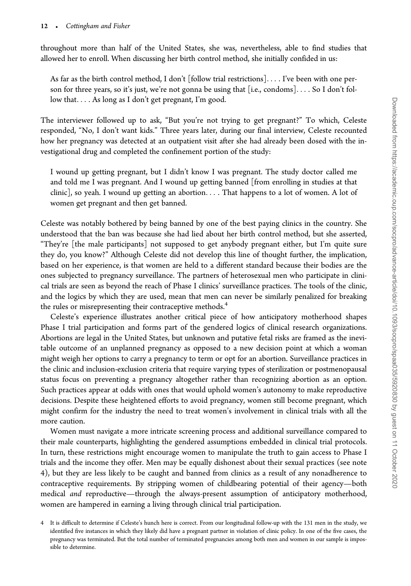throughout more than half of the United States, she was, nevertheless, able to find studies that allowed her to enroll. When discussing her birth control method, she initially confided in us:

As far as the birth control method, I don't [follow trial restrictions]... . I've been with one person for three years, so it's just, we're not gonna be using that [i.e., condoms]... . So I don't follow that... . As long as I don't get pregnant, I'm good.

The interviewer followed up to ask, "But you're not trying to get pregnant?" To which, Celeste responded, "No, I don't want kids." Three years later, during our final interview, Celeste recounted how her pregnancy was detected at an outpatient visit after she had already been dosed with the investigational drug and completed the confinement portion of the study:

I wound up getting pregnant, but I didn't know I was pregnant. The study doctor called me and told me I was pregnant. And I wound up getting banned [from enrolling in studies at that clinic], so yeah. I wound up getting an abortion... . That happens to a lot of women. A lot of women get pregnant and then get banned.

Celeste was notably bothered by being banned by one of the best paying clinics in the country. She understood that the ban was because she had lied about her birth control method, but she asserted, "They're [the male participants] not supposed to get anybody pregnant either, but I'm quite sure they do, you know?" Although Celeste did not develop this line of thought further, the implication, based on her experience, is that women are held to a different standard because their bodies are the ones subjected to pregnancy surveillance. The partners of heterosexual men who participate in clinical trials are seen as beyond the reach of Phase I clinics' surveillance practices. The tools of the clinic, and the logics by which they are used, mean that men can never be similarly penalized for breaking the rules or misrepresenting their contraceptive methods.<sup>4</sup>

Celeste's experience illustrates another critical piece of how anticipatory motherhood shapes Phase I trial participation and forms part of the gendered logics of clinical research organizations. Abortions are legal in the United States, but unknown and putative fetal risks are framed as the inevitable outcome of an unplanned pregnancy as opposed to a new decision point at which a woman might weigh her options to carry a pregnancy to term or opt for an abortion. Surveillance practices in the clinic and inclusion-exclusion criteria that require varying types of sterilization or postmenopausal status focus on preventing a pregnancy altogether rather than recognizing abortion as an option. Such practices appear at odds with ones that would uphold women's autonomy to make reproductive decisions. Despite these heightened efforts to avoid pregnancy, women still become pregnant, which might confirm for the industry the need to treat women's involvement in clinical trials with all the more caution.

Women must navigate a more intricate screening process and additional surveillance compared to their male counterparts, highlighting the gendered assumptions embedded in clinical trial protocols. In turn, these restrictions might encourage women to manipulate the truth to gain access to Phase I trials and the income they offer. Men may be equally dishonest about their sexual practices (see note 4), but they are less likely to be caught and banned from clinics as a result of any nonadherence to contraceptive requirements. By stripping women of childbearing potential of their agency—both medical and reproductive—through the always-present assumption of anticipatory motherhood, women are hampered in earning a living through clinical trial participation.

<sup>4</sup> It is difficult to determine if Celeste's hunch here is correct. From our longitudinal follow-up with the 131 men in the study, we identified five instances in which they likely did have a pregnant partner in violation of clinic policy. In one of the five cases, the pregnancy was terminated. But the total number of terminated pregnancies among both men and women in our sample is impossible to determine.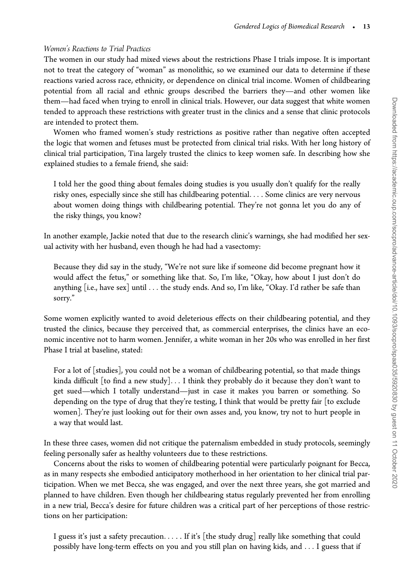#### Women's Reactions to Trial Practices

The women in our study had mixed views about the restrictions Phase I trials impose. It is important not to treat the category of "woman" as monolithic, so we examined our data to determine if these reactions varied across race, ethnicity, or dependence on clinical trial income. Women of childbearing potential from all racial and ethnic groups described the barriers they—and other women like them—had faced when trying to enroll in clinical trials. However, our data suggest that white women tended to approach these restrictions with greater trust in the clinics and a sense that clinic protocols are intended to protect them.

Women who framed women's study restrictions as positive rather than negative often accepted the logic that women and fetuses must be protected from clinical trial risks. With her long history of clinical trial participation, Tina largely trusted the clinics to keep women safe. In describing how she explained studies to a female friend, she said:

I told her the good thing about females doing studies is you usually don't qualify for the really risky ones, especially since she still has childbearing potential... . Some clinics are very nervous about women doing things with childbearing potential. They're not gonna let you do any of the risky things, you know?

In another example, Jackie noted that due to the research clinic's warnings, she had modified her sexual activity with her husband, even though he had had a vasectomy:

Because they did say in the study, "We're not sure like if someone did become pregnant how it would affect the fetus," or something like that. So, I'm like, "Okay, how about I just don't do anything [i.e., have sex] until ... the study ends. And so, I'm like, "Okay. I'd rather be safe than sorry."

Some women explicitly wanted to avoid deleterious effects on their childbearing potential, and they trusted the clinics, because they perceived that, as commercial enterprises, the clinics have an economic incentive not to harm women. Jennifer, a white woman in her 20s who was enrolled in her first Phase I trial at baseline, stated:

For a lot of [studies], you could not be a woman of childbearing potential, so that made things kinda difficult [to find a new study]... I think they probably do it because they don't want to get sued—which I totally understand—just in case it makes you barren or something. So depending on the type of drug that they're testing, I think that would be pretty fair [to exclude women]. They're just looking out for their own asses and, you know, try not to hurt people in a way that would last.

In these three cases, women did not critique the paternalism embedded in study protocols, seemingly feeling personally safer as healthy volunteers due to these restrictions.

Concerns about the risks to women of childbearing potential were particularly poignant for Becca, as in many respects she embodied anticipatory motherhood in her orientation to her clinical trial participation. When we met Becca, she was engaged, and over the next three years, she got married and planned to have children. Even though her childbearing status regularly prevented her from enrolling in a new trial, Becca's desire for future children was a critical part of her perceptions of those restrictions on her participation:

I guess it's just a safety precaution... . . If it's [the study drug] really like something that could possibly have long-term effects on you and you still plan on having kids, and ... I guess that if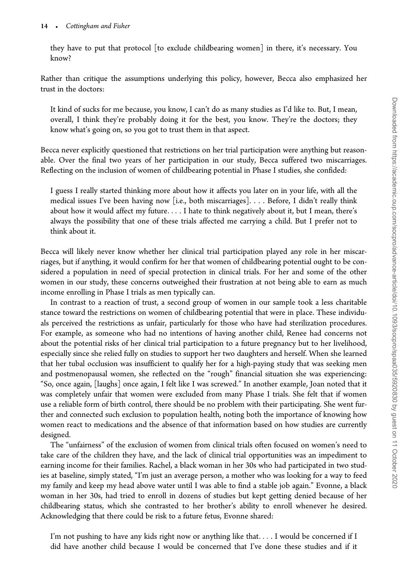## 14 • Cottingham and Fisher

they have to put that protocol [to exclude childbearing women] in there, it's necessary. You know?

Rather than critique the assumptions underlying this policy, however, Becca also emphasized her trust in the doctors:

It kind of sucks for me because, you know, I can't do as many studies as I'd like to. But, I mean, overall, I think they're probably doing it for the best, you know. They're the doctors; they know what's going on, so you got to trust them in that aspect.

Becca never explicitly questioned that restrictions on her trial participation were anything but reasonable. Over the final two years of her participation in our study, Becca suffered two miscarriages. Reflecting on the inclusion of women of childbearing potential in Phase I studies, she confided:

I guess I really started thinking more about how it affects you later on in your life, with all the medical issues I've been having now [i.e., both miscarriages]. . . . Before, I didn't really think about how it would affect my future... . I hate to think negatively about it, but I mean, there's always the possibility that one of these trials affected me carrying a child. But I prefer not to think about it.

Becca will likely never know whether her clinical trial participation played any role in her miscarriages, but if anything, it would confirm for her that women of childbearing potential ought to be considered a population in need of special protection in clinical trials. For her and some of the other women in our study, these concerns outweighed their frustration at not being able to earn as much income enrolling in Phase I trials as men typically can.

In contrast to a reaction of trust, a second group of women in our sample took a less charitable stance toward the restrictions on women of childbearing potential that were in place. These individuals perceived the restrictions as unfair, particularly for those who have had sterilization procedures. For example, as someone who had no intentions of having another child, Renee had concerns not about the potential risks of her clinical trial participation to a future pregnancy but to her livelihood, especially since she relied fully on studies to support her two daughters and herself. When she learned that her tubal occlusion was insufficient to qualify her for a high-paying study that was seeking men and postmenopausal women, she reflected on the "rough" financial situation she was experiencing: "So, once again, [laughs] once again, I felt like I was screwed." In another example, Joan noted that it was completely unfair that women were excluded from many Phase I trials. She felt that if women use a reliable form of birth control, there should be no problem with their participating. She went further and connected such exclusion to population health, noting both the importance of knowing how women react to medications and the absence of that information based on how studies are currently designed.

The "unfairness" of the exclusion of women from clinical trials often focused on women's need to take care of the children they have, and the lack of clinical trial opportunities was an impediment to earning income for their families. Rachel, a black woman in her 30s who had participated in two studies at baseline, simply stated, "I'm just an average person, a mother who was looking for a way to feed my family and keep my head above water until I was able to find a stable job again." Evonne, a black woman in her 30s, had tried to enroll in dozens of studies but kept getting denied because of her childbearing status, which she contrasted to her brother's ability to enroll whenever he desired. Acknowledging that there could be risk to a future fetus, Evonne shared:

I'm not pushing to have any kids right now or anything like that... I would be concerned if I did have another child because I would be concerned that I've done these studies and if it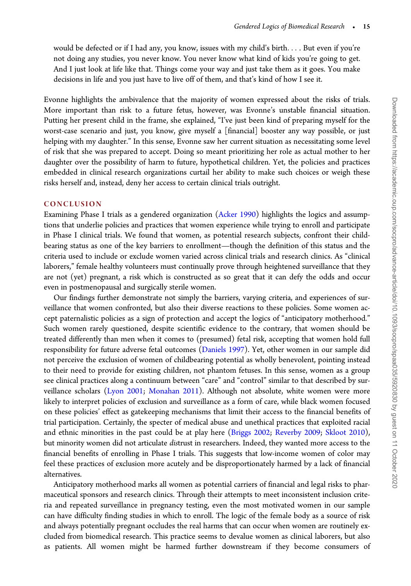would be defected or if I had any, you know, issues with my child's birth... . But even if you're not doing any studies, you never know. You never know what kind of kids you're going to get. And I just look at life like that. Things come your way and just take them as it goes. You make decisions in life and you just have to live off of them, and that's kind of how I see it.

Evonne highlights the ambivalence that the majority of women expressed about the risks of trials. More important than risk to a future fetus, however, was Evonne's unstable financial situation. Putting her present child in the frame, she explained, "I've just been kind of preparing myself for the worst-case scenario and just, you know, give myself a [financial] booster any way possible, or just helping with my daughter." In this sense, Evonne saw her current situation as necessitating some level of risk that she was prepared to accept. Doing so meant prioritizing her role as actual mother to her daughter over the possibility of harm to future, hypothetical children. Yet, the policies and practices embedded in clinical research organizations curtail her ability to make such choices or weigh these risks herself and, instead, deny her access to certain clinical trials outright.

#### **CONCLUSION**

Examining Phase I trials as a gendered organization [\(Acker 1990](#page-15-0)) highlights the logics and assumptions that underlie policies and practices that women experience while trying to enroll and participate in Phase I clinical trials. We found that women, as potential research subjects, confront their childbearing status as one of the key barriers to enrollment—though the definition of this status and the criteria used to include or exclude women varied across clinical trials and research clinics. As "clinical laborers," female healthy volunteers must continually prove through heightened surveillance that they are not (yet) pregnant, a risk which is constructed as so great that it can defy the odds and occur even in postmenopausal and surgically sterile women.

Our findings further demonstrate not simply the barriers, varying criteria, and experiences of surveillance that women confronted, but also their diverse reactions to these policies. Some women accept paternalistic policies as a sign of protection and accept the logics of "anticipatory motherhood." Such women rarely questioned, despite scientific evidence to the contrary, that women should be treated differently than men when it comes to (presumed) fetal risk, accepting that women hold full responsibility for future adverse fetal outcomes ([Daniels 1997](#page-16-0)). Yet, other women in our sample did not perceive the exclusion of women of childbearing potential as wholly benevolent, pointing instead to their need to provide for existing children, not phantom fetuses. In this sense, women as a group see clinical practices along a continuum between "care" and "control" similar to that described by surveillance scholars ([Lyon 2001;](#page-16-0) [Monahan 2011](#page-16-0)). Although not absolute, white women were more likely to interpret policies of exclusion and surveillance as a form of care, while black women focused on these policies' effect as gatekeeping mechanisms that limit their access to the financial benefits of trial participation. Certainly, the specter of medical abuse and unethical practices that exploited racial and ethnic minorities in the past could be at play here ([Briggs 2002;](#page-15-0) [Reverby 2009;](#page-17-0) [Skloot 2010](#page-17-0)), but minority women did not articulate distrust in researchers. Indeed, they wanted more access to the financial benefits of enrolling in Phase I trials. This suggests that low-income women of color may feel these practices of exclusion more acutely and be disproportionately harmed by a lack of financial alternatives.

Anticipatory motherhood marks all women as potential carriers of financial and legal risks to pharmaceutical sponsors and research clinics. Through their attempts to meet inconsistent inclusion criteria and repeated surveillance in pregnancy testing, even the most motivated women in our sample can have difficulty finding studies in which to enroll. The logic of the female body as a source of risk and always potentially pregnant occludes the real harms that can occur when women are routinely excluded from biomedical research. This practice seems to devalue women as clinical laborers, but also as patients. All women might be harmed further downstream if they become consumers of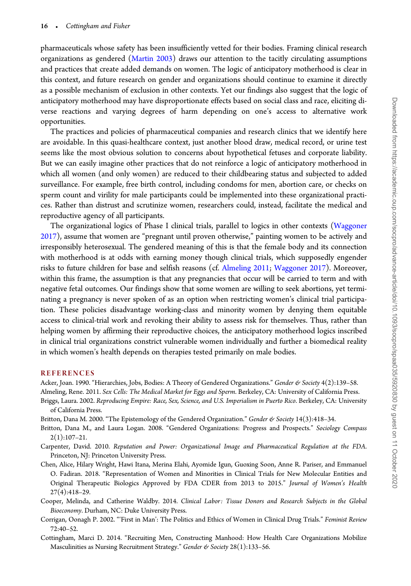<span id="page-15-0"></span>pharmaceuticals whose safety has been insufficiently vetted for their bodies. Framing clinical research organizations as gendered ([Martin 2003\)](#page-16-0) draws our attention to the tacitly circulating assumptions and practices that create added demands on women. The logic of anticipatory motherhood is clear in this context, and future research on gender and organizations should continue to examine it directly as a possible mechanism of exclusion in other contexts. Yet our findings also suggest that the logic of anticipatory motherhood may have disproportionate effects based on social class and race, eliciting diverse reactions and varying degrees of harm depending on one's access to alternative work opportunities.

The practices and policies of pharmaceutical companies and research clinics that we identify here are avoidable. In this quasi-healthcare context, just another blood draw, medical record, or urine test seems like the most obvious solution to concerns about hypothetical fetuses and corporate liability. But we can easily imagine other practices that do not reinforce a logic of anticipatory motherhood in which all women (and only women) are reduced to their childbearing status and subjected to added surveillance. For example, free birth control, including condoms for men, abortion care, or checks on sperm count and virility for male participants could be implemented into these organizational practices. Rather than distrust and scrutinize women, researchers could, instead, facilitate the medical and reproductive agency of all participants.

The organizational logics of Phase I clinical trials, parallel to logics in other contexts [\(Waggoner](#page-17-0) [2017\)](#page-17-0), assume that women are "pregnant until proven otherwise," painting women to be actively and irresponsibly heterosexual. The gendered meaning of this is that the female body and its connection with motherhood is at odds with earning money though clinical trials, which supposedly engender risks to future children for base and selfish reasons (cf. Almeling 2011; [Waggoner 2017](#page-17-0)). Moreover, within this frame, the assumption is that any pregnancies that occur will be carried to term and with negative fetal outcomes. Our findings show that some women are willing to seek abortions, yet terminating a pregnancy is never spoken of as an option when restricting women's clinical trial participation. These policies disadvantage working-class and minority women by denying them equitable access to clinical-trial work and revoking their ability to assess risk for themselves. Thus, rather than helping women by affirming their reproductive choices, the anticipatory motherhood logics inscribed in clinical trial organizations constrict vulnerable women individually and further a biomedical reality in which women's health depends on therapies tested primarily on male bodies.

#### REFERENCES

Acker, Joan. 1990. "Hierarchies, Jobs, Bodies: A Theory of Gendered Organizations." Gender & Society 4(2):139-58. Almeling, Rene. 2011. Sex Cells: The Medical Market for Eggs and Sperm. Berkeley, CA: University of California Press.

- Briggs, Laura. 2002. Reproducing Empire: Race, Sex, Science, and U.S. Imperialism in Puerto Rico. Berkeley, CA: University of California Press.
- Britton, Dana M. 2000. "The Epistemology of the Gendered Organization." Gender & Society 14(3):418-34.
- Britton, Dana M., and Laura Logan. 2008. "Gendered Organizations: Progress and Prospects." Sociology Compass  $2(1):107-21.$
- Carpenter, David. 2010. Reputation and Power: Organizational Image and Pharmaceutical Regulation at the FDA. Princeton, NJ: Princeton University Press.
- Chen, Alice, Hilary Wright, Hawi Itana, Merina Elahi, Ayomide Igun, Guoxing Soon, Anne R. Pariser, and Emmanuel O. Fadiran. 2018. "Representation of Women and Minorities in Clinical Trials for New Molecular Entities and Original Therapeutic Biologics Approved by FDA CDER from 2013 to 2015." Journal of Women's Health 27(4):418–29.
- Cooper, Melinda, and Catherine Waldby. 2014. Clinical Labor: Tissue Donors and Research Subjects in the Global Bioeconomy. Durham, NC: Duke University Press.
- Corrigan, Oonagh P. 2002. "'First in Man': The Politics and Ethics of Women in Clinical Drug Trials." Feminist Review 72:40–52.
- Cottingham, Marci D. 2014. "Recruiting Men, Constructing Manhood: How Health Care Organizations Mobilize Masculinities as Nursing Recruitment Strategy." Gender & Society 28(1):133-56.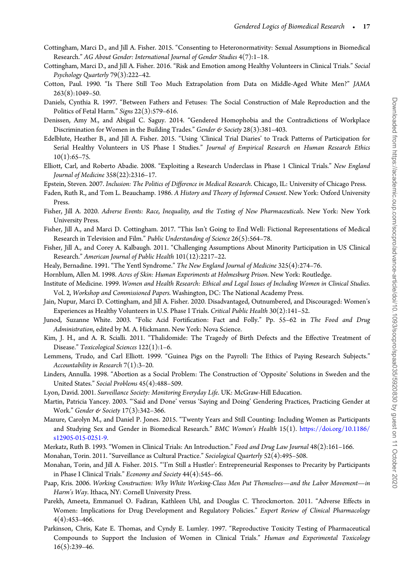- <span id="page-16-0"></span>Cottingham, Marci D., and Jill A. Fisher. 2015. "Consenting to Heteronormativity: Sexual Assumptions in Biomedical Research." AG About Gender: International Journal of Gender Studies 4(7):1–18.
- Cottingham, Marci D., and Jill A. Fisher. 2016. "Risk and Emotion among Healthy Volunteers in Clinical Trials." Social Psychology Quarterly 79(3):222–42.
- Cotton, Paul. 1990. "Is There Still Too Much Extrapolation from Data on Middle-Aged White Men?" JAMA 263(8):1049–50.
- Daniels, Cynthia R. 1997. "Between Fathers and Fetuses: The Social Construction of Male Reproduction and the Politics of Fetal Harm." Signs 22(3):579–616.
- Denissen, Amy M., and Abigail C. Saguy. 2014. "Gendered Homophobia and the Contradictions of Workplace Discrimination for Women in the Building Trades." Gender & Society 28(3):381-403.
- Edelblute, Heather B., and Jill A. Fisher. 2015. "Using 'Clinical Trial Diaries' to Track Patterns of Participation for Serial Healthy Volunteers in US Phase I Studies." Journal of Empirical Research on Human Research Ethics  $10(1):65-75.$
- Elliott, Carl, and Roberto Abadie. 2008. "Exploiting a Research Underclass in Phase 1 Clinical Trials." New England Journal of Medicine 358(22):2316–17.

Epstein, Steven. 2007. Inclusion: The Politics of Difference in Medical Research. Chicago, IL: University of Chicago Press.

- Faden, Ruth R., and Tom L. Beauchamp. 1986. A History and Theory of Informed Consent. New York: Oxford University Press.
- Fisher, Jill A. 2020. Adverse Events: Race, Inequality, and the Testing of New Pharmaceuticals. New York: New York University Press.
- Fisher, Jill A., and Marci D. Cottingham. 2017. "This Isn't Going to End Well: Fictional Representations of Medical Research in Television and Film." Public Understanding of Science 26(5):564–78.
- Fisher, Jill A., and Corey A. Kalbaugh. 2011. "Challenging Assumptions About Minority Participation in US Clinical Research." American Journal of Public Health 101(12):2217–22.
- Healy, Bernadine. 1991. "The Yentl Syndrome." The New England Journal of Medicine 325(4):274–76.
- Hornblum, Allen M. 1998. Acres of Skin: Human Experiments at Holmesburg Prison. New York: Routledge.
- Institute of Medicine. 1999. Women and Health Research: Ethical and Legal Issues of Including Women in Clinical Studies. Vol. 2, Workshop and Commissioned Papers. Washington, DC: The National Academy Press.
- Jain, Nupur, Marci D. Cottingham, and Jill A. Fisher. 2020. Disadvantaged, Outnumbered, and Discouraged: Women's Experiences as Healthy Volunteers in U.S. Phase I Trials. Critical Public Health 30(2):141–52.
- Junod, Suzanne White. 2003. "Folic Acid Fortification: Fact and Folly." Pp. 55–62 in The Food and Drug Administration, edited by M. A. Hickmann. New York: Nova Science.
- Kim, J. H., and A. R. Scialli. 2011. "Thalidomide: The Tragedy of Birth Defects and the Effective Treatment of Disease." Toxicological Sciences 122(1):1–6.
- Lemmens, Trudo, and Carl Elliott. 1999. "Guinea Pigs on the Payroll: The Ethics of Paying Research Subjects." Accountability in Research  $7(1):3-20$ .
- Linders, Annulla. 1998. "Abortion as a Social Problem: The Construction of 'Opposite' Solutions in Sweden and the United States." Social Problems 45(4):488–509.

Lyon, David. 2001. Surveillance Society: Monitoring Everyday Life. UK: McGraw-Hill Education.

- Martin, Patricia Yancey. 2003. "'Said and Done' versus 'Saying and Doing' Gendering Practices, Practicing Gender at Work." Gender & Society 17(3):342–366.
- Mazure, Carolyn M., and Daniel P. Jones. 2015. "Twenty Years and Still Counting: Including Women as Participants and Studying Sex and Gender in Biomedical Research." BMC Women's Health 15(1). [https://doi.org/10.1186/](https://doi.org/10.1186/s12905-015-0251-9) [s12905-015-0251-9](https://doi.org/10.1186/s12905-015-0251-9).
- Merkatz, Ruth B. 1993. "Women in Clinical Trials: An Introduction." Food and Drug Law Journal 48(2):161–166.
- Monahan, Torin. 2011. "Surveillance as Cultural Practice." Sociological Quarterly 52(4):495–508.
- Monahan, Torin, and Jill A. Fisher. 2015. "'I'm Still a Hustler': Entrepreneurial Responses to Precarity by Participants in Phase I Clinical Trials." Economy and Society 44(4):545–66.
- Paap, Kris. 2006. Working Construction: Why White Working-Class Men Put Themselves—and the Labor Movement—in Harm's Way. Ithaca, NY: Cornell University Press.
- Parekh, Ameeta, Emmanuel O. Fadiran, Kathleen Uhl, and Douglas C. Throckmorton. 2011. "Adverse Effects in Women: Implications for Drug Development and Regulatory Policies." Expert Review of Clinical Pharmacology 4(4):453–466.
- Parkinson, Chris, Kate E. Thomas, and Cyndy E. Lumley. 1997. "Reproductive Toxicity Testing of Pharmaceutical Compounds to Support the Inclusion of Women in Clinical Trials." Human and Experimental Toxicology  $16(5):239-46.$